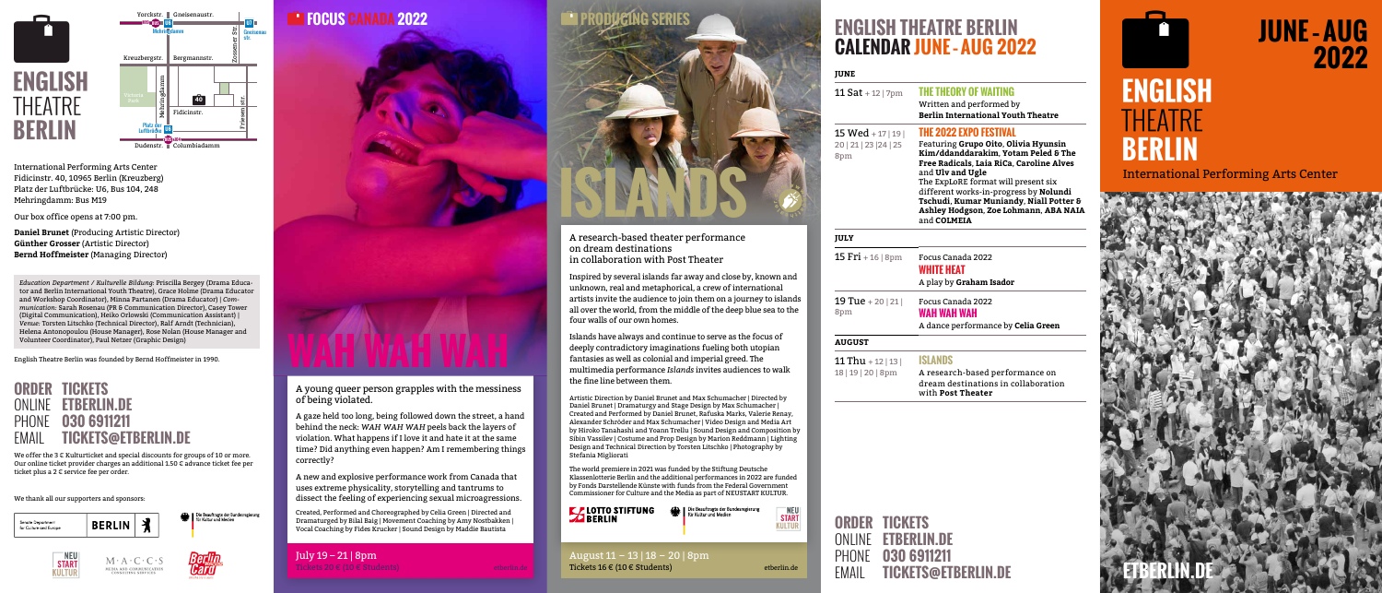#### A young queer person grapples with the messiness of being violated.

A gaze held too long, being followed down the street, a hand behind the neck: *WAH WAH WAH* peels back the layers of violation. What happens if I love it and hate it at the same time? Did anything even happen? Am I remembering things correctly?

A new and explosive performance work from Canada that uses extreme physicality, storytelling and tantrums to dissect the feeling of experiencing sexual microagressions.

Created, Performed and Choreographed by Celia Green | Directed and Dramaturged by Bilal Baig | Movement Coaching by Amy Nostbakken | Vocal Coaching by Fides Krucker | Sound Design by Maddie Bautista

| July $19 - 21$   8pm         |  |
|------------------------------|--|
| Tickets 20 € (10 € Students) |  |

#### **FOCUS CANADA 2022**



## **2022**

International Performing Arts Center Fidicinstr. 40, 10965 Berlin (Kreuzberg) Platz der Luftbrücke: U6, Bus 104, 248 Mehringdamm: Bus M19

Our box office opens at 7:00 pm.

We offer the 3 € Kulturticket and special discounts for groups of 10 or more. Our online ticket provider charges an additional 1.50 € advance ticket fee per ticket plus a 2 € service fee per order.

**Daniel Brunet** (Producing Artistic Director) **Günther Grosser** (Artistic Director) **Bernd Hoffmeister** (Managing Director)

*Education Department / Kulturelle Bildung:* Priscilla Bergey (Drama Educator and Berlin International Youth Theatre), Grace Holme (Drama Educator and Workshop Coordinator), Minna Partanen (Drama Educator) | *Communication:* Sarah Rosenau (PR & Communication Director), Casey Tower (Digital Communication), Heiko Orlowski (Communication Assistant) | *Venue:* Torsten Litschko (Technical Director), Ralf Arndt (Technician), Helena Antonopoulou (House Manager), Rose Nolan (House Manager and Volunteer Coordinator), Paul Netzer (Graphic Design)

15  $Fri + 16 | 8pm$  Focus Canada 2022 **WHITE HEAT** A play by **Graham Isador** 

**19 Tue** + 20 | 21 | 8pm Focus Canada 2022 **WAH WAH WAH** A dance performance by **Celia Green**

11 Thu + 12 | 13 | 18 | 19 | 20 | 8pm

English Theatre Berlin was founded by Bernd Hoffmeister in 1990.

#### **ORDER TICKETS** ONLINE **ETBERLIN.DE** PHONE **030 6911211** EMAIL **TICKETS@ETBERLIN.DE**







We thank all our supporters and sponsors:



```
Die Beauftragte der Bundesregierung<br>Sie für Kultur und Medien
```






## **ENGLISH THEATRE BERLIN CALENDAR JUNE – AUG 2022**

#### **JUNE**

#### 11 Sat + 12 | 7pm **THE THEORY OF WAITING**

Written and performed by **Berlin International Youth Theatre**

15 Wed + 17 | 19 | 20 | 21 | 23 |24 | 25 8pm

#### **THE 2022 EXPO FESTIVAL**

Featuring **Grupo Oito**, **Olivia Hyunsin Kim/ddanddarakim**, **Yotam Peled & The Free Radicals**, **Laia RiCa**, **Caroline Alves** and **Ulv and Ugle** The ExpLoRE format will present six different works-in-progress by **Nolundi Tschudi**, **Kumar Muniandy**, **Niall Potter & Ashley Hodgson**, **Zoe Lohmann**, **ABA NAIA** and **COLMEIA**



#### **JULY**

#### **AUGUST**

#### **ISLANDS**

A research-based performance on dream destinations in collaboration with **Post Theater**



#### **ORDER TICKETS** ONLINE **ETBERLIN.DE** PHONE **030 6911211**  EMAIL **TICKETS@ETBERLIN.DE**

# et and **JUNE** - AUG<br>
2022<br>
ENGLISH<br>
THEATRE **BERLIN**

August 11 – 13 | 18 – 20 | 8pm Tickets 16 € (10 € Students)

A research-based theater performance on dream destinations in collaboration with Post Theater

Inspired by several islands far away and close by, known and unknown, real and metaphorical, a crew of international artists invite the audience to join them on a journey to islands all over the world, from the middle of the deep blue sea to the four walls of our own homes.

Islands have always and continue to serve as the focus of deeply contradictory imaginations fueling both utopian fantasies as well as colonial and imperial greed. The multimedia performance *Islands* invites audiences to walk the fine line between them.

Artistic Direction by Daniel Brunet and Max Schumacher | Directed by Daniel Brunet | Dramaturgy and Stage Design by Max Schumacher | Created and Performed by Daniel Brunet, Rafuska Marks, Valerie Renay, Alexander Schröder and Max Schumacher | Video Design and Media Art by Hiroko Tanahashi and Yoann Trellu | Sound Design and Composition by Sibin Vassilev | Costume and Prop Design by Marion Reddmann | Lighting Design and Technical Direction by Torsten Litschko | Photography by Stefania Migliorati

The world premiere in 2021 was funded by the Stiftung Deutsche Klassenlotterie Berlin and the additional performances in 2022 are funded by Fonds Darstellende Künste with funds from the Federal Government Commissioner for Culture and the Media as part of NEUSTART KULTUR.



## **START**<br>KULTUR

etberlin.de